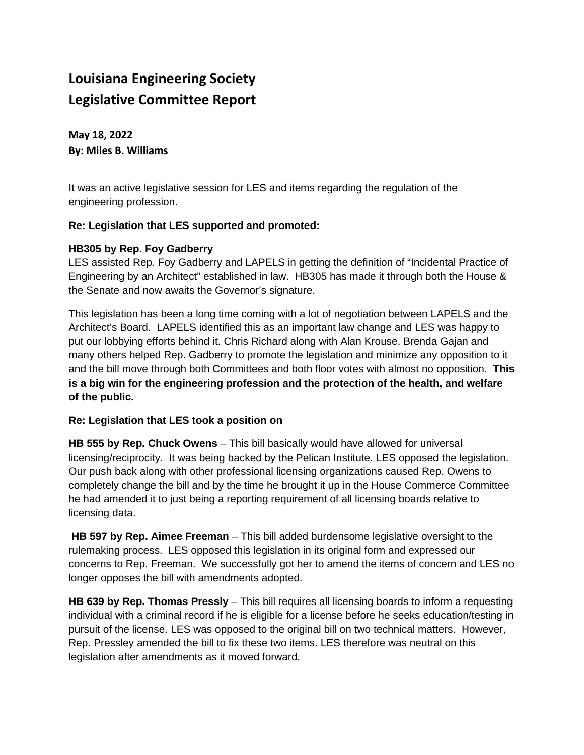## **Louisiana Engineering Society Legislative Committee Report**

**May 18, 2022 By: Miles B. Williams** 

It was an active legislative session for LES and items regarding the regulation of the engineering profession.

## **Re: Legislation that LES supported and promoted:**

## **HB305 by Rep. Foy Gadberry**

LES assisted Rep. Foy Gadberry and LAPELS in getting the definition of "Incidental Practice of Engineering by an Architect" established in law. HB305 has made it through both the House & the Senate and now awaits the Governor's signature.

This legislation has been a long time coming with a lot of negotiation between LAPELS and the Architect's Board. LAPELS identified this as an important law change and LES was happy to put our lobbying efforts behind it. Chris Richard along with Alan Krouse, Brenda Gajan and many others helped Rep. Gadberry to promote the legislation and minimize any opposition to it and the bill move through both Committees and both floor votes with almost no opposition. **This is a big win for the engineering profession and the protection of the health, and welfare of the public.**

## **Re: Legislation that LES took a position on**

**HB 555 by Rep. Chuck Owens** – This bill basically would have allowed for universal licensing/reciprocity. It was being backed by the Pelican Institute. LES opposed the legislation. Our push back along with other professional licensing organizations caused Rep. Owens to completely change the bill and by the time he brought it up in the House Commerce Committee he had amended it to just being a reporting requirement of all licensing boards relative to licensing data.

**HB 597 by Rep. Aimee Freeman** – This bill added burdensome legislative oversight to the rulemaking process. LES opposed this legislation in its original form and expressed our concerns to Rep. Freeman. We successfully got her to amend the items of concern and LES no longer opposes the bill with amendments adopted.

**HB 639 by Rep. Thomas Pressly** – This bill requires all licensing boards to inform a requesting individual with a criminal record if he is eligible for a license before he seeks education/testing in pursuit of the license. LES was opposed to the original bill on two technical matters. However, Rep. Pressley amended the bill to fix these two items. LES therefore was neutral on this legislation after amendments as it moved forward.